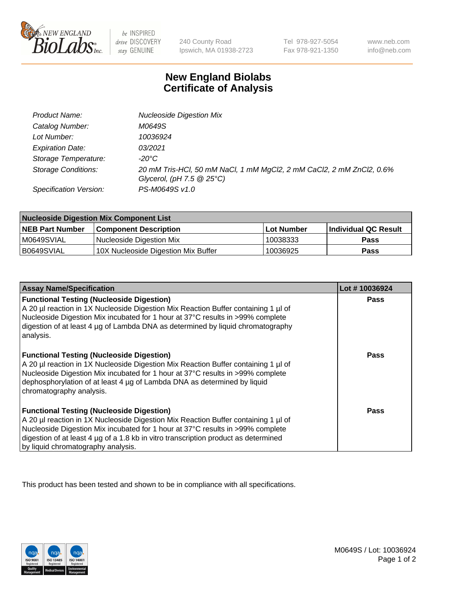

 $be$  INSPIRED drive DISCOVERY stay GENUINE

240 County Road Ipswich, MA 01938-2723 Tel 978-927-5054 Fax 978-921-1350 www.neb.com info@neb.com

## **New England Biolabs Certificate of Analysis**

| Product Name:              | <b>Nucleoside Digestion Mix</b>                                                                               |
|----------------------------|---------------------------------------------------------------------------------------------------------------|
| Catalog Number:            | M0649S                                                                                                        |
| Lot Number:                | 10036924                                                                                                      |
| <b>Expiration Date:</b>    | 03/2021                                                                                                       |
| Storage Temperature:       | -20°C                                                                                                         |
| <b>Storage Conditions:</b> | 20 mM Tris-HCl, 50 mM NaCl, 1 mM MgCl2, 2 mM CaCl2, 2 mM ZnCl2, 0.6%<br>Glycerol, (pH $7.5 \ @ 25^{\circ}C$ ) |
| Specification Version:     | PS-M0649S v1.0                                                                                                |

| <b>Nucleoside Digestion Mix Component List</b> |                                     |            |                      |  |
|------------------------------------------------|-------------------------------------|------------|----------------------|--|
| <b>NEB Part Number</b>                         | <b>Component Description</b>        | Lot Number | Individual QC Result |  |
| M0649SVIAL                                     | Nucleoside Digestion Mix            | 10038333   | <b>Pass</b>          |  |
| B0649SVIAL                                     | 10X Nucleoside Digestion Mix Buffer | 10036925   | Pass                 |  |

| <b>Assay Name/Specification</b>                                                                                                                                                                                                                                                                                                                       | Lot #10036924 |
|-------------------------------------------------------------------------------------------------------------------------------------------------------------------------------------------------------------------------------------------------------------------------------------------------------------------------------------------------------|---------------|
| <b>Functional Testing (Nucleoside Digestion)</b><br>A 20 µl reaction in 1X Nucleoside Digestion Mix Reaction Buffer containing 1 µl of<br>Nucleoside Digestion Mix incubated for 1 hour at 37°C results in >99% complete<br>digestion of at least 4 µg of Lambda DNA as determined by liguid chromatography<br>analysis.                              | Pass          |
| <b>Functional Testing (Nucleoside Digestion)</b><br>A 20 µl reaction in 1X Nucleoside Digestion Mix Reaction Buffer containing 1 µl of<br>Nucleoside Digestion Mix incubated for 1 hour at 37°C results in >99% complete<br>dephosphorylation of at least 4 µg of Lambda DNA as determined by liquid<br>chromatography analysis.                      | <b>Pass</b>   |
| <b>Functional Testing (Nucleoside Digestion)</b><br>A 20 µl reaction in 1X Nucleoside Digestion Mix Reaction Buffer containing 1 µl of<br>Nucleoside Digestion Mix incubated for 1 hour at 37°C results in >99% complete<br>digestion of at least 4 µg of a 1.8 kb in vitro transcription product as determined<br>by liquid chromatography analysis. | Pass          |

This product has been tested and shown to be in compliance with all specifications.